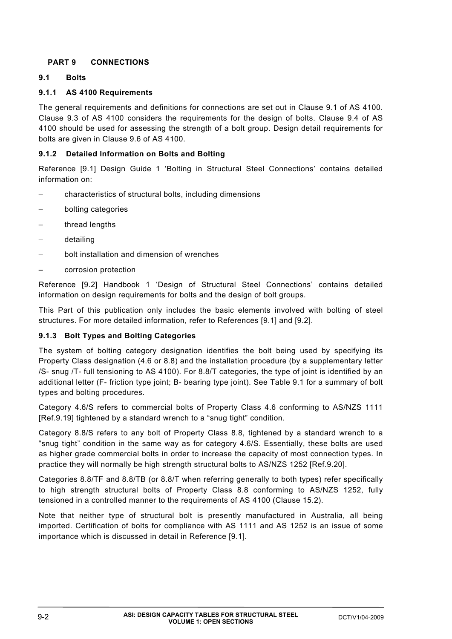# **PART 9 CONNECTIONS**

### **9.1 Bolts**

### **9.1.1 AS 4100 Requirements**

The general requirements and definitions for connections are set out in Clause 9.1 of AS 4100. Clause 9.3 of AS 4100 considers the requirements for the design of bolts. Clause 9.4 of AS 4100 should be used for assessing the strength of a bolt group. Design detail requirements for bolts are given in Clause 9.6 of AS 4100.

### **9.1.2 Detailed Information on Bolts and Bolting**

Reference [9.1] Design Guide 1 'Bolting in Structural Steel Connections' contains detailed information on:

- characteristics of structural bolts, including dimensions
- bolting categories
- thread lengths
- detailing
- bolt installation and dimension of wrenches
- corrosion protection

Reference [9.2] Handbook 1 'Design of Structural Steel Connections' contains detailed information on design requirements for bolts and the design of bolt groups.

This Part of this publication only includes the basic elements involved with bolting of steel structures. For more detailed information, refer to References [9.1] and [9.2].

## **9.1.3 Bolt Types and Bolting Categories**

The system of bolting category designation identifies the bolt being used by specifying its Property Class designation (4.6 or 8.8) and the installation procedure (by a supplementary letter /S- snug /T- full tensioning to AS 4100). For 8.8/T categories, the type of joint is identified by an additional letter (F- friction type joint; B- bearing type joint). See Table 9.1 for a summary of bolt types and bolting procedures.

Category 4.6/S refers to commercial bolts of Property Class 4.6 conforming to AS/NZS 1111 [Ref.9.19] tightened by a standard wrench to a "snug tight" condition.

Category 8.8/S refers to any bolt of Property Class 8.8, tightened by a standard wrench to a "snug tight" condition in the same way as for category 4.6/S. Essentially, these bolts are used as higher grade commercial bolts in order to increase the capacity of most connection types. In practice they will normally be high strength structural bolts to AS/NZS 1252 [Ref.9.20].

Categories 8.8/TF and 8.8/TB (or 8.8/T when referring generally to both types) refer specifically to high strength structural bolts of Property Class 8.8 conforming to AS/NZS 1252, fully tensioned in a controlled manner to the requirements of AS 4100 (Clause 15.2).

Note that neither type of structural bolt is presently manufactured in Australia, all being imported. Certification of bolts for compliance with AS 1111 and AS 1252 is an issue of some importance which is discussed in detail in Reference [9.1].